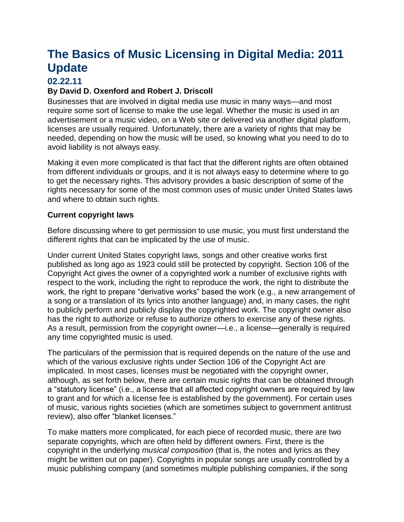# **The Basics of Music Licensing in Digital Media: 2011 Update**

## **02.22.11**

## **By David D. Oxenford and Robert J. Driscoll**

Businesses that are involved in digital media use music in many ways—and most require some sort of license to make the use legal. Whether the music is used in an advertisement or a music video, on a Web site or delivered via another digital platform, licenses are usually required. Unfortunately, there are a variety of rights that may be needed, depending on how the music will be used, so knowing what you need to do to avoid liability is not always easy.

Making it even more complicated is that fact that the different rights are often obtained from different individuals or groups, and it is not always easy to determine where to go to get the necessary rights. This advisory provides a basic description of some of the rights necessary for some of the most common uses of music under United States laws and where to obtain such rights.

## **Current copyright laws**

Before discussing where to get permission to use music, you must first understand the different rights that can be implicated by the use of music.

Under current United States copyright laws, songs and other creative works first published as long ago as 1923 could still be protected by copyright. Section 106 of the Copyright Act gives the owner of a copyrighted work a number of exclusive rights with respect to the work, including the right to reproduce the work, the right to distribute the work, the right to prepare "derivative works" based the work (e.g., a new arrangement of a song or a translation of its lyrics into another language) and, in many cases, the right to publicly perform and publicly display the copyrighted work. The copyright owner also has the right to authorize or refuse to authorize others to exercise any of these rights. As a result, permission from the copyright owner—i.e., a license—generally is required any time copyrighted music is used.

The particulars of the permission that is required depends on the nature of the use and which of the various exclusive rights under Section 106 of the Copyright Act are implicated. In most cases, licenses must be negotiated with the copyright owner, although, as set forth below, there are certain music rights that can be obtained through a "statutory license" (i.e., a license that all affected copyright owners are required by law to grant and for which a license fee is established by the government). For certain uses of music, various rights societies (which are sometimes subject to government antitrust review), also offer "blanket licenses."

To make matters more complicated, for each piece of recorded music, there are two separate copyrights, which are often held by different owners. First, there is the copyright in the underlying *musical composition* (that is, the notes and lyrics as they might be written out on paper). Copyrights in popular songs are usually controlled by a music publishing company (and sometimes multiple publishing companies, if the song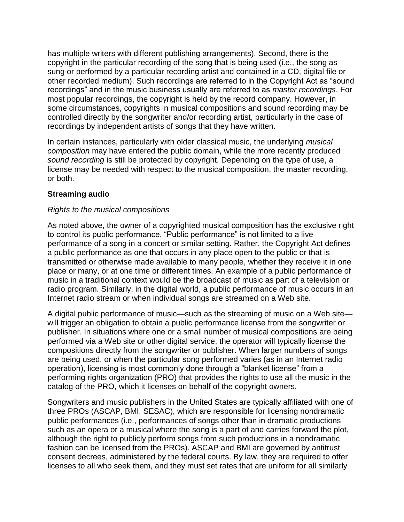has multiple writers with different publishing arrangements). Second, there is the copyright in the particular recording of the song that is being used (i.e., the song as sung or performed by a particular recording artist and contained in a CD, digital file or other recorded medium). Such recordings are referred to in the Copyright Act as "sound recordings" and in the music business usually are referred to as *master recordings*. For most popular recordings, the copyright is held by the record company. However, in some circumstances, copyrights in musical compositions and sound recording may be controlled directly by the songwriter and/or recording artist, particularly in the case of recordings by independent artists of songs that they have written.

In certain instances, particularly with older classical music, the underlying *musical composition* may have entered the public domain, while the more recently produced *sound recording* is still be protected by copyright. Depending on the type of use, a license may be needed with respect to the musical composition, the master recording, or both.

## **Streaming audio**

## *Rights to the musical compositions*

As noted above, the owner of a copyrighted musical composition has the exclusive right to control its public performance. "Public performance" is not limited to a live performance of a song in a concert or similar setting. Rather, the Copyright Act defines a public performance as one that occurs in any place open to the public or that is transmitted or otherwise made available to many people, whether they receive it in one place or many, or at one time or different times. An example of a public performance of music in a traditional context would be the broadcast of music as part of a television or radio program. Similarly, in the digital world, a public performance of music occurs in an Internet radio stream or when individual songs are streamed on a Web site.

A digital public performance of music—such as the streaming of music on a Web site will trigger an obligation to obtain a public performance license from the songwriter or publisher. In situations where one or a small number of musical compositions are being performed via a Web site or other digital service, the operator will typically license the compositions directly from the songwriter or publisher. When larger numbers of songs are being used, or when the particular song performed varies (as in an Internet radio operation), licensing is most commonly done through a "blanket license" from a performing rights organization (PRO) that provides the rights to use all the music in the catalog of the PRO, which it licenses on behalf of the copyright owners.

Songwriters and music publishers in the United States are typically affiliated with one of three PROs (ASCAP, BMI, SESAC), which are responsible for licensing nondramatic public performances (i.e., performances of songs other than in dramatic productions such as an opera or a musical where the song is a part of and carries forward the plot, although the right to publicly perform songs from such productions in a nondramatic fashion can be licensed from the PROs). ASCAP and BMI are governed by antitrust consent decrees, administered by the federal courts. By law, they are required to offer licenses to all who seek them, and they must set rates that are uniform for all similarly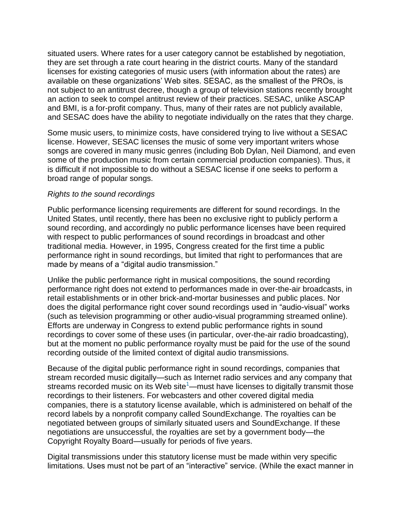situated users. Where rates for a user category cannot be established by negotiation, they are set through a rate court hearing in the district courts. Many of the standard licenses for existing categories of music users (with information about the rates) are available on these organizations' Web sites. SESAC, as the smallest of the PROs, is not subject to an antitrust decree, though a group of television stations recently brought an action to seek to compel antitrust review of their practices. SESAC, unlike ASCAP and BMI, is a for-profit company. Thus, many of their rates are not publicly available, and SESAC does have the ability to negotiate individually on the rates that they charge.

Some music users, to minimize costs, have considered trying to live without a SESAC license. However, SESAC licenses the music of some very important writers whose songs are covered in many music genres (including Bob Dylan, Neil Diamond, and even some of the production music from certain commercial production companies). Thus, it is difficult if not impossible to do without a SESAC license if one seeks to perform a broad range of popular songs.

## *Rights to the sound recordings*

Public performance licensing requirements are different for sound recordings. In the United States, until recently, there has been no exclusive right to publicly perform a sound recording, and accordingly no public performance licenses have been required with respect to public performances of sound recordings in broadcast and other traditional media. However, in 1995, Congress created for the first time a public performance right in sound recordings, but limited that right to performances that are made by means of a "digital audio transmission."

Unlike the public performance right in musical compositions, the sound recording performance right does not extend to performances made in over-the-air broadcasts, in retail establishments or in other brick-and-mortar businesses and public places. Nor does the digital performance right cover sound recordings used in "audio-visual" works (such as television programming or other audio-visual programming streamed online). Efforts are underway in Congress to extend public performance rights in sound recordings to cover some of these uses (in particular, over-the-air radio broadcasting), but at the moment no public performance royalty must be paid for the use of the sound recording outside of the limited context of digital audio transmissions.

Because of the digital public performance right in sound recordings, companies that stream recorded music digitally—such as Internet radio services and any company that streams recorded music on its Web site<sup>[1](http://www.dwt.com/LearningCenter/Advisories?find=395305&utm_campaign=General&utm_source=The+Basics+of+Music+Licensing+in+Digital+Media%3a+2011+Update&utm_content=Final&utm_term=kent%40kab.net&utm_medium=print|LearningCenter%2fAdvisories%3ffind%3d395305#_ftn1)</sup>—must have licenses to digitally transmit those recordings to their listeners. For webcasters and other covered digital media companies, there is a statutory license available, which is administered on behalf of the record labels by a nonprofit company called SoundExchange. The royalties can be negotiated between groups of similarly situated users and SoundExchange. If these negotiations are unsuccessful, the royalties are set by a government body—the Copyright Royalty Board—usually for periods of five years.

Digital transmissions under this statutory license must be made within very specific limitations. Uses must not be part of an "interactive" service. (While the exact manner in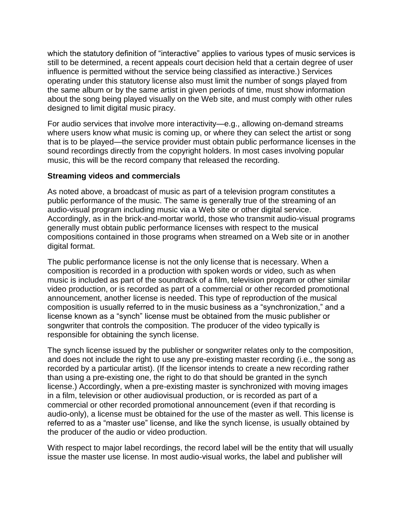which the statutory definition of "interactive" applies to various types of music services is still to be determined, a recent appeals court decision held that a certain degree of user influence is permitted without the service being classified as interactive.) Services operating under this statutory license also must limit the number of songs played from the same album or by the same artist in given periods of time, must show information about the song being played visually on the Web site, and must comply with other rules designed to limit digital music piracy.

For audio services that involve more interactivity—e.g., allowing on-demand streams where users know what music is coming up, or where they can select the artist or song that is to be played—the service provider must obtain public performance licenses in the sound recordings directly from the copyright holders. In most cases involving popular music, this will be the record company that released the recording.

## **Streaming videos and commercials**

As noted above, a broadcast of music as part of a television program constitutes a public performance of the music. The same is generally true of the streaming of an audio-visual program including music via a Web site or other digital service. Accordingly, as in the brick-and-mortar world, those who transmit audio-visual programs generally must obtain public performance licenses with respect to the musical compositions contained in those programs when streamed on a Web site or in another digital format.

The public performance license is not the only license that is necessary. When a composition is recorded in a production with spoken words or video, such as when music is included as part of the soundtrack of a film, television program or other similar video production, or is recorded as part of a commercial or other recorded promotional announcement, another license is needed. This type of reproduction of the musical composition is usually referred to in the music business as a "synchronization," and a license known as a "synch" license must be obtained from the music publisher or songwriter that controls the composition. The producer of the video typically is responsible for obtaining the synch license.

The synch license issued by the publisher or songwriter relates only to the composition, and does not include the right to use any pre-existing master recording (i.e., the song as recorded by a particular artist). (If the licensor intends to create a new recording rather than using a pre-existing one, the right to do that should be granted in the synch license.) Accordingly, when a pre-existing master is synchronized with moving images in a film, television or other audiovisual production, or is recorded as part of a commercial or other recorded promotional announcement (even if that recording is audio-only), a license must be obtained for the use of the master as well. This license is referred to as a "master use" license, and like the synch license, is usually obtained by the producer of the audio or video production.

With respect to major label recordings, the record label will be the entity that will usually issue the master use license. In most audio-visual works, the label and publisher will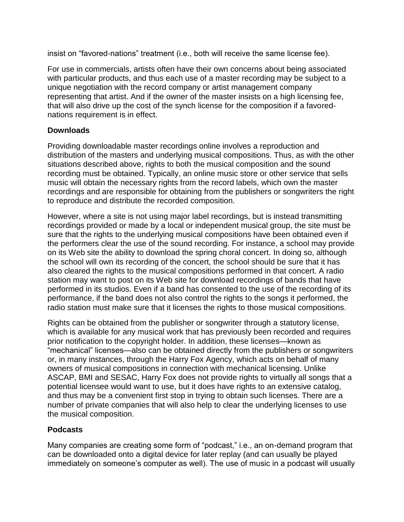insist on "favored-nations" treatment (i.e., both will receive the same license fee).

For use in commercials, artists often have their own concerns about being associated with particular products, and thus each use of a master recording may be subject to a unique negotiation with the record company or artist management company representing that artist. And if the owner of the master insists on a high licensing fee, that will also drive up the cost of the synch license for the composition if a favorednations requirement is in effect.

## **Downloads**

Providing downloadable master recordings online involves a reproduction and distribution of the masters and underlying musical compositions. Thus, as with the other situations described above, rights to both the musical composition and the sound recording must be obtained. Typically, an online music store or other service that sells music will obtain the necessary rights from the record labels, which own the master recordings and are responsible for obtaining from the publishers or songwriters the right to reproduce and distribute the recorded composition.

However, where a site is not using major label recordings, but is instead transmitting recordings provided or made by a local or independent musical group, the site must be sure that the rights to the underlying musical compositions have been obtained even if the performers clear the use of the sound recording. For instance, a school may provide on its Web site the ability to download the spring choral concert. In doing so, although the school will own its recording of the concert, the school should be sure that it has also cleared the rights to the musical compositions performed in that concert. A radio station may want to post on its Web site for download recordings of bands that have performed in its studios. Even if a band has consented to the use of the recording of its performance, if the band does not also control the rights to the songs it performed, the radio station must make sure that it licenses the rights to those musical compositions.

Rights can be obtained from the publisher or songwriter through a statutory license, which is available for any musical work that has previously been recorded and requires prior notification to the copyright holder. In addition, these licenses—known as "mechanical" licenses—also can be obtained directly from the publishers or songwriters or, in many instances, through the Harry Fox Agency, which acts on behalf of many owners of musical compositions in connection with mechanical licensing. Unlike ASCAP, BMI and SESAC, Harry Fox does not provide rights to virtually all songs that a potential licensee would want to use, but it does have rights to an extensive catalog, and thus may be a convenient first stop in trying to obtain such licenses. There are a number of private companies that will also help to clear the underlying licenses to use the musical composition.

## **Podcasts**

Many companies are creating some form of "podcast," i.e., an on-demand program that can be downloaded onto a digital device for later replay (and can usually be played immediately on someone's computer as well). The use of music in a podcast will usually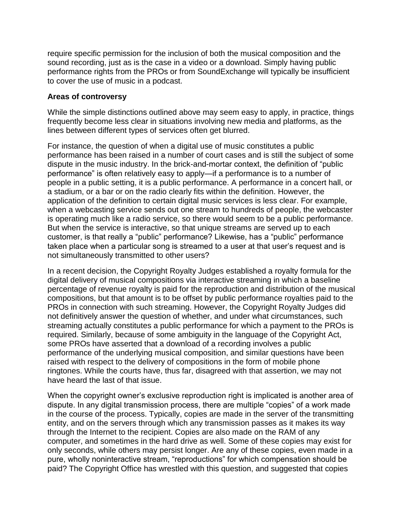require specific permission for the inclusion of both the musical composition and the sound recording, just as is the case in a video or a download. Simply having public performance rights from the PROs or from SoundExchange will typically be insufficient to cover the use of music in a podcast.

## **Areas of controversy**

While the simple distinctions outlined above may seem easy to apply, in practice, things frequently become less clear in situations involving new media and platforms, as the lines between different types of services often get blurred.

For instance, the question of when a digital use of music constitutes a public performance has been raised in a number of court cases and is still the subject of some dispute in the music industry. In the brick-and-mortar context, the definition of "public performance" is often relatively easy to apply—if a performance is to a number of people in a public setting, it is a public performance. A performance in a concert hall, or a stadium, or a bar or on the radio clearly fits within the definition. However, the application of the definition to certain digital music services is less clear. For example, when a webcasting service sends out one stream to hundreds of people, the webcaster is operating much like a radio service, so there would seem to be a public performance. But when the service is interactive, so that unique streams are served up to each customer, is that really a "public" performance? Likewise, has a "public" performance taken place when a particular song is streamed to a user at that user's request and is not simultaneously transmitted to other users?

In a recent decision, the Copyright Royalty Judges established a royalty formula for the digital delivery of musical compositions via interactive streaming in which a baseline percentage of revenue royalty is paid for the reproduction and distribution of the musical compositions, but that amount is to be offset by public performance royalties paid to the PROs in connection with such streaming. However, the Copyright Royalty Judges did not definitively answer the question of whether, and under what circumstances, such streaming actually constitutes a public performance for which a payment to the PROs is required. Similarly, because of some ambiguity in the language of the Copyright Act, some PROs have asserted that a download of a recording involves a public performance of the underlying musical composition, and similar questions have been raised with respect to the delivery of compositions in the form of mobile phone ringtones. While the courts have, thus far, disagreed with that assertion, we may not have heard the last of that issue.

When the copyright owner's exclusive reproduction right is implicated is another area of dispute. In any digital transmission process, there are multiple "copies" of a work made in the course of the process. Typically, copies are made in the server of the transmitting entity, and on the servers through which any transmission passes as it makes its way through the Internet to the recipient. Copies are also made on the RAM of any computer, and sometimes in the hard drive as well. Some of these copies may exist for only seconds, while others may persist longer. Are any of these copies, even made in a pure, wholly noninteractive stream, "reproductions" for which compensation should be paid? The Copyright Office has wrestled with this question, and suggested that copies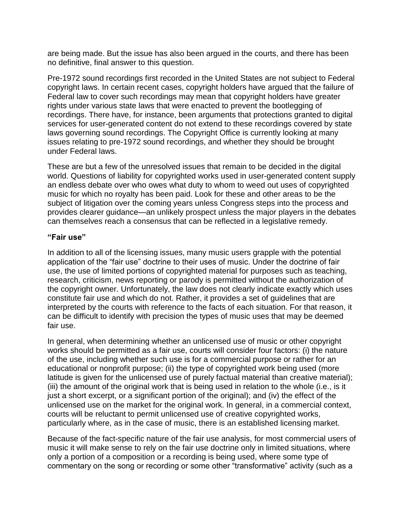are being made. But the issue has also been argued in the courts, and there has been no definitive, final answer to this question.

Pre-1972 sound recordings first recorded in the United States are not subject to Federal copyright laws. In certain recent cases, copyright holders have argued that the failure of Federal law to cover such recordings may mean that copyright holders have greater rights under various state laws that were enacted to prevent the bootlegging of recordings. There have, for instance, been arguments that protections granted to digital services for user-generated content do not extend to these recordings covered by state laws governing sound recordings. The Copyright Office is currently looking at many issues relating to pre-1972 sound recordings, and whether they should be brought under Federal laws.

These are but a few of the unresolved issues that remain to be decided in the digital world. Questions of liability for copyrighted works used in user-generated content supply an endless debate over who owes what duty to whom to weed out uses of copyrighted music for which no royalty has been paid. Look for these and other areas to be the subject of litigation over the coming years unless Congress steps into the process and provides clearer guidance—an unlikely prospect unless the major players in the debates can themselves reach a consensus that can be reflected in a legislative remedy.

## **"Fair use"**

In addition to all of the licensing issues, many music users grapple with the potential application of the "fair use" doctrine to their uses of music. Under the doctrine of fair use, the use of limited portions of copyrighted material for purposes such as teaching, research, criticism, news reporting or parody is permitted without the authorization of the copyright owner. Unfortunately, the law does not clearly indicate exactly which uses constitute fair use and which do not. Rather, it provides a set of guidelines that are interpreted by the courts with reference to the facts of each situation. For that reason, it can be difficult to identify with precision the types of music uses that may be deemed fair use.

In general, when determining whether an unlicensed use of music or other copyright works should be permitted as a fair use, courts will consider four factors: (i) the nature of the use, including whether such use is for a commercial purpose or rather for an educational or nonprofit purpose; (ii) the type of copyrighted work being used (more latitude is given for the unlicensed use of purely factual material than creative material); (iii) the amount of the original work that is being used in relation to the whole (i.e., is it just a short excerpt, or a significant portion of the original); and (iv) the effect of the unlicensed use on the market for the original work. In general, in a commercial context, courts will be reluctant to permit unlicensed use of creative copyrighted works, particularly where, as in the case of music, there is an established licensing market.

Because of the fact-specific nature of the fair use analysis, for most commercial users of music it will make sense to rely on the fair use doctrine only in limited situations, where only a portion of a composition or a recording is being used, where some type of commentary on the song or recording or some other "transformative" activity (such as a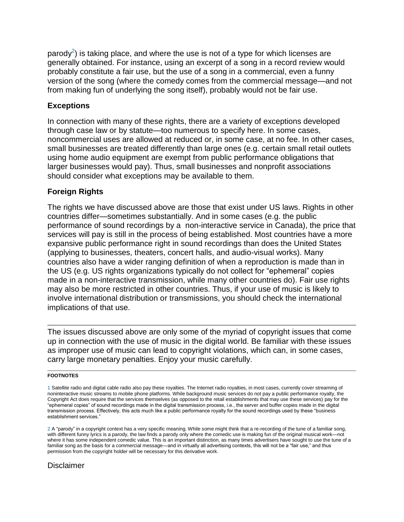parod[y](http://www.dwt.com/LearningCenter/Advisories?find=395305&utm_campaign=General&utm_source=The+Basics+of+Music+Licensing+in+Digital+Media%3a+2011+Update&utm_content=Final&utm_term=kent%40kab.net&utm_medium=print|LearningCenter%2fAdvisories%3ffind%3d395305#_ftn2)<sup>2</sup>) is taking place, and where the use is not of a type for which licenses are generally obtained. For instance, using an excerpt of a song in a record review would probably constitute a fair use, but the use of a song in a commercial, even a funny version of the song (where the comedy comes from the commercial message—and not from making fun of underlying the song itself), probably would not be fair use.

## **Exceptions**

In connection with many of these rights, there are a variety of exceptions developed through case law or by statute—too numerous to specify here. In some cases, noncommercial uses are allowed at reduced or, in some case, at no fee. In other cases, small businesses are treated differently than large ones (e.g. certain small retail outlets using home audio equipment are exempt from public performance obligations that larger businesses would pay). Thus, small businesses and nonprofit associations should consider what exceptions may be available to them.

## **Foreign Rights**

The rights we have discussed above are those that exist under US laws. Rights in other countries differ—sometimes substantially. And in some cases (e.g. the public performance of sound recordings by a non-interactive service in Canada), the price that services will pay is still in the process of being established. Most countries have a more expansive public performance right in sound recordings than does the United States (applying to businesses, theaters, concert halls, and audio-visual works). Many countries also have a wider ranging definition of when a reproduction is made than in the US (e.g. US rights organizations typically do not collect for "ephemeral" copies made in a non-interactive transmission, while many other countries do). Fair use rights may also be more restricted in other countries. Thus, if your use of music is likely to involve international distribution or transmissions, you should check the international implications of that use.

The issues discussed above are only some of the myriad of copyright issues that come up in connection with the use of music in the digital world. Be familiar with these issues as improper use of music can lead to copyright violations, which can, in some cases, carry large monetary penalties. Enjoy your music carefully.

#### **FOOTNOTES**

## **Disclaimer**

[<sup>1</sup>](http://www.dwt.com/LearningCenter/Advisories?find=395305&utm_campaign=General&utm_source=The+Basics+of+Music+Licensing+in+Digital+Media%3a+2011+Update&utm_content=Final&utm_term=kent%40kab.net&utm_medium=print|LearningCenter%2fAdvisories%3ffind%3d395305#_ftnref1) Satellite radio and digital cable radio also pay these royalties. The Internet radio royalties, in most cases, currently cover streaming of noninteractive music streams to mobile phone platforms. While background music services do not pay a public performance royalty, the Copyright Act does require that the services themselves (as opposed to the retail establishments that may use these services) pay for the "ephemeral copies" of sound recordings made in the digital transmission process, i.e., the server and buffer copies made in the digital transmission process. Effectively, this acts much like a public performance royalty for the sound recordings used by these "business establishment services."

[<sup>2</sup>](http://www.dwt.com/LearningCenter/Advisories?find=395305&utm_campaign=General&utm_source=The+Basics+of+Music+Licensing+in+Digital+Media%3a+2011+Update&utm_content=Final&utm_term=kent%40kab.net&utm_medium=print|LearningCenter%2fAdvisories%3ffind%3d395305#_ftnref2) A "parody" in a copyright context has a very specific meaning. While some might think that a re-recording of the tune of a familiar song, with different funny lyrics is a parody, the law finds a parody only where the comedic use is making fun of the original musical work—not where it has some independent comedic value. This is an important distinction, as many times advertisers have sought to use the tune of a familiar song as the basis for a commercial message—and in virtually all advertising contexts, this will not be a "fair use," and thus permission from the copyright holder will be necessary for this derivative work.